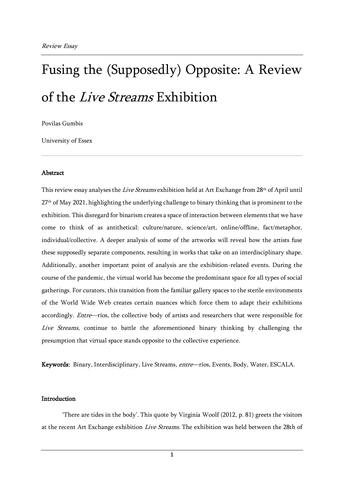# Fusing the (Supposedly) Opposite: A Review of the Live Streams Exhibition

Povilas Gumbis

University of Essex

#### Abstract

This review essay analyses the Live Streams exhibition held at Art Exchange from 28<sup>th</sup> of April until 27th of May 2021, highlighting the underlying challenge to binary thinking that is prominent to the exhibition. This disregard for binarism creates a space of interaction between elements that we have come to think of as antithetical: culture/nature, science/art, online/offline, fact/metaphor, individual/collective. A deeper analysis of some of the artworks will reveal how the artists fuse these supposedly separate components, resulting in works that take on an interdisciplinary shape. Additionally, another important point of analysis are the exhibition-related events. During the course of the pandemic, the virtual world has become the predominant space for all types of social gatherings. For curators, this transition from the familiar gallery spaces to the sterile environments of the World Wide Web creates certain nuances which force them to adapt their exhibitions accordingly. Entre—ríos, the collective body of artists and researchers that were responsible for Live Streams, continue to battle the aforementioned binary thinking by challenging the presumption that virtual space stands opposite to the collective experience.

Keywords: Binary, Interdisciplinary, Live Streams, entre—ríos, Events, Body, Water, ESCALA.

### Introduction

'There are tides in the body'. This quote by Virginia Woolf (2012, p. 81) greets the visitors at the recent Art Exchange exhibition Live Streams. The exhibition was held between the 28th of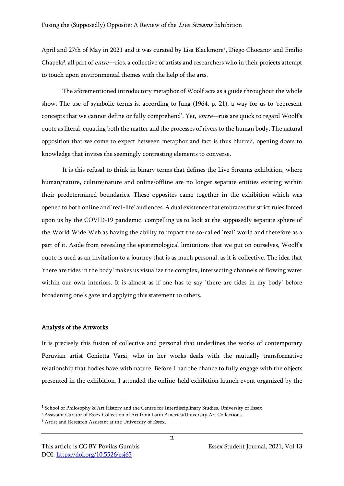April and 27th of May in 2021 and it was curated by Lisa Blackmore<sup>1</sup>, Diego Chocano<sup>2</sup> and Emilio Chapela<sup>3</sup>, all part of *entre*—ríos, a collective of artists and researchers who in their projects attempt to touch upon environmental themes with the help of the arts.

The aforementioned introductory metaphor of Woolf acts as a guide throughout the whole show. The use of symbolic terms is, according to Jung (1964, p. 21), a way for us to 'represent concepts that we cannot define or fully comprehend'. Yet, entre—ríos are quick to regard Woolf's quote as literal, equating both the matter and the processes of rivers to the human body. The natural opposition that we come to expect between metaphor and fact is thus blurred, opening doors to knowledge that invites the seemingly contrasting elements to converse.

It is this refusal to think in binary terms that defines the Live Streams exhibition, where human/nature, culture/nature and online/offline are no longer separate entities existing within their predetermined boundaries. These opposites came together in the exhibition which was opened to both online and 'real-life' audiences. A dual existence that embraces the strict rules forced upon us by the COVID-19 pandemic, compelling us to look at the supposedly separate sphere of the World Wide Web as having the ability to impact the so-called 'real' world and therefore as a part of it. Aside from revealing the epistemological limitations that we put on ourselves, Woolf's quote is used as an invitation to a journey that is as much personal, as it is collective. The idea that 'there are tides in the body' makes us visualize the complex, intersecting channels of flowing water within our own interiors. It is almost as if one has to say 'there are tides in my body' before broadening one's gaze and applying this statement to others.

### Analysis of the Artworks

It is precisely this fusion of collective and personal that underlines the works of contemporary Peruvian artist Genietta Varsi, who in her works deals with the mutually transformative relationship that bodies have with nature. Before I had the chance to fully engage with the objects presented in the exhibition, I attended the online-held exhibition launch event organized by the

<sup>1</sup> School of Philosophy & Art History and the Centre for Interdisciplinary Studies, University of Essex.

<sup>2</sup> Assistant Curator of Essex Collection of Art from Latin America/University Art Collections.

<sup>3</sup> Artist and Research Assistant at the University of Essex.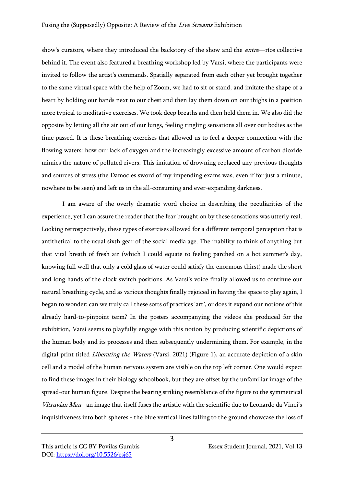show's curators, where they introduced the backstory of the show and the *entre*—ríos collective behind it. The event also featured a breathing workshop led by Varsi, where the participants were invited to follow the artist's commands. Spatially separated from each other yet brought together to the same virtual space with the help of Zoom, we had to sit or stand, and imitate the shape of a heart by holding our hands next to our chest and then lay them down on our thighs in a position more typical to meditative exercises. We took deep breaths and then held them in. We also did the opposite by letting all the air out of our lungs, feeling tingling sensations all over our bodies as the time passed. It is these breathing exercises that allowed us to feel a deeper connection with the flowing waters: how our lack of oxygen and the increasingly excessive amount of carbon dioxide mimics the nature of polluted rivers. This imitation of drowning replaced any previous thoughts and sources of stress (the Damocles sword of my impending exams was, even if for just a minute, nowhere to be seen) and left us in the all-consuming and ever-expanding darkness.

I am aware of the overly dramatic word choice in describing the peculiarities of the experience, yet I can assure the reader that the fear brought on by these sensations was utterly real. Looking retrospectively, these types of exercises allowed for a different temporal perception that is antithetical to the usual sixth gear of the social media age. The inability to think of anything but that vital breath of fresh air (which I could equate to feeling parched on a hot summer's day, knowing full well that only a cold glass of water could satisfy the enormous thirst) made the short and long hands of the clock switch positions. As Varsi's voice finally allowed us to continue our natural breathing cycle, and as various thoughts finally rejoiced in having the space to play again, I began to wonder: can we truly call these sorts of practices 'art', or does it expand our notions of this already hard-to-pinpoint term? In the posters accompanying the videos she produced for the exhibition, Varsi seems to playfully engage with this notion by producing scientific depictions of the human body and its processes and then subsequently undermining them. For example, in the digital print titled *Liberating the Waters* (Varsi, 2021) (Figure 1), an accurate depiction of a skin cell and a model of the human nervous system are visible on the top left corner. One would expect to find these images in their biology schoolbook, but they are offset by the unfamiliar image of the spread-out human figure. Despite the bearing striking resemblance of the figure to the symmetrical Vitruvian Man - an image that itself fuses the artistic with the scientific due to Leonardo da Vinci's inquisitiveness into both spheres - the blue vertical lines falling to the ground showcase the loss of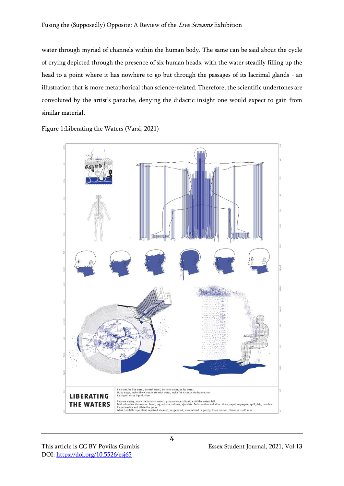water through myriad of channels within the human body. The same can be said about the cycle of crying depicted through the presence of six human heads, with the water steadily filling up the head to a point where it has nowhere to go but through the passages of its lacrimal glands - an illustration that is more metaphorical than science-related. Therefore, the scientific undertones are convoluted by the artist's panache, denying the didactic insight one would expect to gain from similar material.

Figure 1:Liberating the Waters (Varsi, 2021)

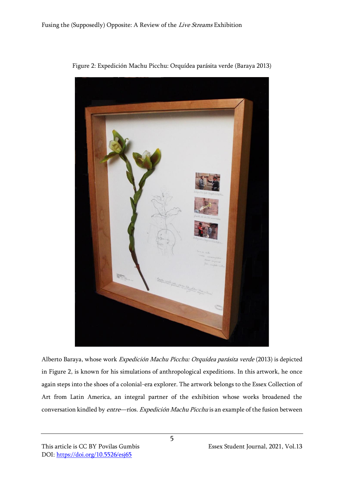

Figure 2: Expedición Machu Picchu: Orquídea parásita verde (Baraya 2013)

Alberto Baraya, whose work Expedición Machu Picchu: Orquídea parásita verde (2013) is depicted in Figure 2, is known for his simulations of anthropological expeditions. In this artwork, he once again steps into the shoes of a colonial-era explorer. The artwork belongs to the Essex Collection of Art from Latin America, an integral partner of the exhibition whose works broadened the conversation kindled by entre—ríos. Expedición Machu Picchu is an example of the fusion between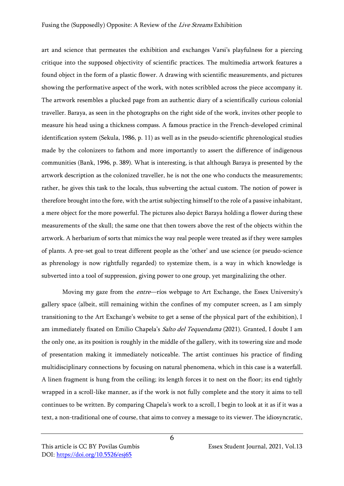art and science that permeates the exhibition and exchanges Varsi's playfulness for a piercing critique into the supposed objectivity of scientific practices. The multimedia artwork features a found object in the form of a plastic flower. A drawing with scientific measurements, and pictures showing the performative aspect of the work, with notes scribbled across the piece accompany it. The artwork resembles a plucked page from an authentic diary of a scientifically curious colonial traveller. Baraya, as seen in the photographs on the right side of the work, invites other people to measure his head using a thickness compass. A famous practice in the French-developed criminal identification system (Sekula, 1986, p. 11) as well as in the pseudo-scientific phrenological studies made by the colonizers to fathom and more importantly to assert the difference of indigenous communities (Bank, 1996, p. 389). What is interesting, is that although Baraya is presented by the artwork description as the colonized traveller, he is not the one who conducts the measurements; rather, he gives this task to the locals, thus subverting the actual custom. The notion of power is therefore brought into the fore, with the artist subjecting himself to the role of a passive inhabitant, a mere object for the more powerful. The pictures also depict Baraya holding a flower during these measurements of the skull; the same one that then towers above the rest of the objects within the artwork. A herbarium of sorts that mimics the way real people were treated as if they were samples of plants. A pre-set goal to treat different people as the 'other' and use science (or pseudo-science as phrenology is now rightfully regarded) to systemize them, is a way in which knowledge is subverted into a tool of suppression, giving power to one group, yet marginalizing the other.

Moving my gaze from the *entre*—ríos webpage to Art Exchange, the Essex University's gallery space (albeit, still remaining within the confines of my computer screen, as I am simply transitioning to the Art Exchange's website to get a sense of the physical part of the exhibition), I am immediately fixated on Emilio Chapela's Salto del Tequendama (2021). Granted, I doubt I am the only one, as its position is roughly in the middle of the gallery, with its towering size and mode of presentation making it immediately noticeable. The artist continues his practice of finding multidisciplinary connections by focusing on natural phenomena, which in this case is a waterfall. A linen fragment is hung from the ceiling; its length forces it to nest on the floor; its end tightly wrapped in a scroll-like manner, as if the work is not fully complete and the story it aims to tell continues to be written. By comparing Chapela's work to a scroll, I begin to look at it as if it was a text, a non-traditional one of course, that aims to convey a message to its viewer. The idiosyncratic,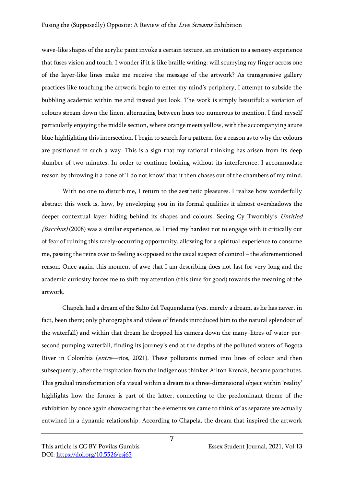wave-like shapes of the acrylic paint invoke a certain texture, an invitation to a sensory experience that fuses vision and touch. I wonder if it is like braille writing: will scurrying my finger across one of the layer-like lines make me receive the message of the artwork? As transgressive gallery practices like touching the artwork begin to enter my mind's periphery, I attempt to subside the bubbling academic within me and instead just look. The work is simply beautiful: a variation of colours stream down the linen, alternating between hues too numerous to mention. I find myself particularly enjoying the middle section, where orange meets yellow, with the accompanying azure blue highlighting this intersection. I begin to search for a pattern, for a reason as to why the colours are positioned in such a way. This is a sign that my rational thinking has arisen from its deep slumber of two minutes. In order to continue looking without its interference, I accommodate reason by throwing it a bone of 'I do not know' that it then chases out of the chambers of my mind.

With no one to disturb me, I return to the aesthetic pleasures. I realize how wonderfully abstract this work is, how, by enveloping you in its formal qualities it almost overshadows the deeper contextual layer hiding behind its shapes and colours. Seeing Cy Twombly's Untitled (Bacchus) (2008) was a similar experience, as I tried my hardest not to engage with it critically out of fear of ruining this rarely-occurring opportunity, allowing for a spiritual experience to consume me, passing the reins over to feeling as opposed to the usual suspect of control – the aforementioned reason. Once again, this moment of awe that I am describing does not last for very long and the academic curiosity forces me to shift my attention (this time for good) towards the meaning of the artwork.

Chapela had a dream of the Salto del Tequendama (yes, merely a dream, as he has never, in fact, been there; only photographs and videos of friends introduced him to the natural splendour of the waterfall) and within that dream he dropped his camera down the many-litres-of-water-persecond pumping waterfall, finding its journey's end at the depths of the polluted waters of Bogota River in Colombia (entre—ríos, 2021). These pollutants turned into lines of colour and then subsequently, after the inspiration from the indigenous thinker Ailton Krenak, became parachutes. This gradual transformation of a visual within a dream to a three-dimensional object within 'reality' highlights how the former is part of the latter, connecting to the predominant theme of the exhibition by once again showcasing that the elements we came to think of as separate are actually entwined in a dynamic relationship. According to Chapela, the dream that inspired the artwork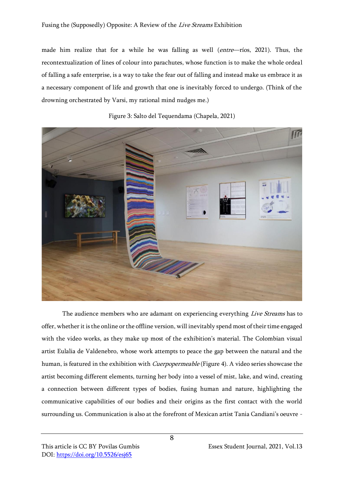made him realize that for a while he was falling as well (entre—ríos, 2021). Thus, the recontextualization of lines of colour into parachutes, whose function is to make the whole ordeal of falling a safe enterprise, is a way to take the fear out of falling and instead make us embrace it as a necessary component of life and growth that one is inevitably forced to undergo. (Think of the drowning orchestrated by Varsi, my rational mind nudges me.)



Figure 3: Salto del Tequendama (Chapela, 2021)

The audience members who are adamant on experiencing everything *Live Streams* has to offer, whether it is the online or the offline version, will inevitably spend most of their time engaged with the video works, as they make up most of the exhibition's material. The Colombian visual artist Eulalia de Valdenebro, whose work attempts to peace the gap between the natural and the human, is featured in the exhibition with Cuerpopermeable (Figure 4). A video series showcase the artist becoming different elements, turning her body into a vessel of mist, lake, and wind, creating a connection between different types of bodies, fusing human and nature, highlighting the communicative capabilities of our bodies and their origins as the first contact with the world surrounding us. Communication is also at the forefront of Mexican artist Tania Candiani's oeuvre -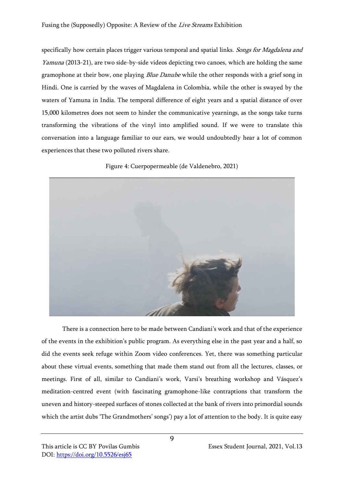specifically how certain places trigger various temporal and spatial links. Songs for Magdalena and Yamuna (2013-21), are two side-by-side videos depicting two canoes, which are holding the same gramophone at their bow, one playing *Blue Danube* while the other responds with a grief song in Hindi. One is carried by the waves of Magdalena in Colombia, while the other is swayed by the waters of Yamuna in India. The temporal difference of eight years and a spatial distance of over 15,000 kilometres does not seem to hinder the communicative yearnings, as the songs take turns transforming the vibrations of the vinyl into amplified sound. If we were to translate this conversation into a language familiar to our ears, we would undoubtedly hear a lot of common experiences that these two polluted rivers share.

Figure 4: Cuerpopermeable (de Valdenebro, 2021)



There is a connection here to be made between Candiani's work and that of the experience of the events in the exhibition's public program. As everything else in the past year and a half, so did the events seek refuge within Zoom video conferences. Yet, there was something particular about these virtual events, something that made them stand out from all the lectures, classes, or meetings. First of all, similar to Candiani's work, Varsi's breathing workshop and Vásquez's meditation-centred event (with fascinating gramophone-like contraptions that transform the uneven and history-steeped surfaces of stones collected at the bank of rivers into primordial sounds which the artist dubs 'The Grandmothers' songs') pay a lot of attention to the body. It is quite easy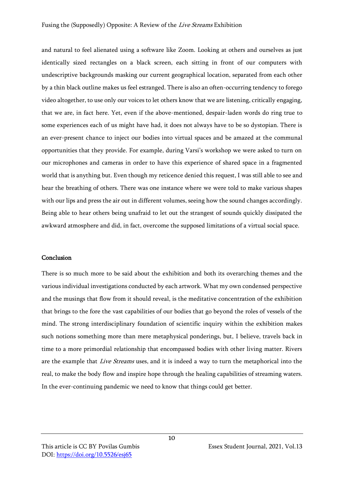and natural to feel alienated using a software like Zoom. Looking at others and ourselves as just identically sized rectangles on a black screen, each sitting in front of our computers with undescriptive backgrounds masking our current geographical location, separated from each other by a thin black outline makes us feel estranged. There is also an often-occurring tendency to forego video altogether, to use only our voices to let others know that we are listening, critically engaging, that we are, in fact here. Yet, even if the above-mentioned, despair-laden words do ring true to some experiences each of us might have had, it does not always have to be so dystopian. There is an ever-present chance to inject our bodies into virtual spaces and be amazed at the communal opportunities that they provide. For example, during Varsi's workshop we were asked to turn on our microphones and cameras in order to have this experience of shared space in a fragmented world that is anything but. Even though my reticence denied this request, I was still able to see and hear the breathing of others. There was one instance where we were told to make various shapes with our lips and press the air out in different volumes, seeing how the sound changes accordingly. Being able to hear others being unafraid to let out the strangest of sounds quickly dissipated the awkward atmosphere and did, in fact, overcome the supposed limitations of a virtual social space.

### Conclusion

There is so much more to be said about the exhibition and both its overarching themes and the various individual investigations conducted by each artwork. What my own condensed perspective and the musings that flow from it should reveal, is the meditative concentration of the exhibition that brings to the fore the vast capabilities of our bodies that go beyond the roles of vessels of the mind. The strong interdisciplinary foundation of scientific inquiry within the exhibition makes such notions something more than mere metaphysical ponderings, but, I believe, travels back in time to a more primordial relationship that encompassed bodies with other living matter. Rivers are the example that *Live Streams* uses, and it is indeed a way to turn the metaphorical into the real, to make the body flow and inspire hope through the healing capabilities of streaming waters. In the ever-continuing pandemic we need to know that things could get better.